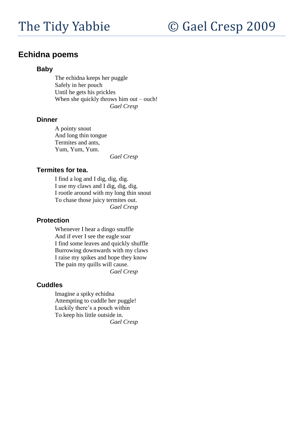# **Echidna poems**

#### **Baby**

The echidna keeps her puggle Safely in her pouch Until he gets his prickles When she quickly throws him out – ouch! *Gael Cresp*

#### **Dinner**

A pointy snout And long thin tongue Termites and ants, Yum, Yum, Yum.

*Gael Cresp*

## **Termites for tea.**

I find a log and I dig, dig, dig. I use my claws and I dig, dig, dig. I rootle around with my long thin snout To chase those juicy termites out. *Gael Cresp*

# **Protection**

Whenever I hear a dingo snuffle And if ever I see the eagle soar I find some leaves and quickly shuffle Burrowing downwards with my claws I raise my spikes and hope they know The pain my quills will cause. *Gael Cresp*

## **Cuddles**

Imagine a spiky echidna Attempting to cuddle her puggle! Luckily there"s a pouch within To keep his little outside in. *Gael Cresp*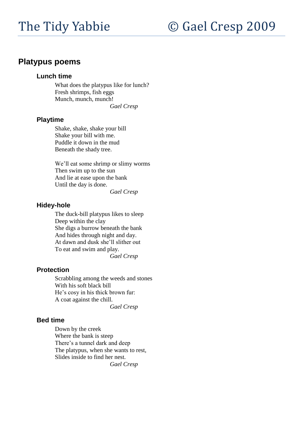# **Platypus poems**

#### **Lunch time**

What does the platypus like for lunch? Fresh shrimps, fish eggs Munch, munch, munch!

*Gael Cresp*

#### **Playtime**

Shake, shake, shake your bill Shake your bill with me. Puddle it down in the mud Beneath the shady tree.

We"ll eat some shrimp or slimy worms Then swim up to the sun And lie at ease upon the bank Until the day is done.

*Gael Cresp*

#### **Hidey-hole**

The duck-bill platypus likes to sleep Deep within the clay She digs a burrow beneath the bank And hides through night and day. At dawn and dusk she"ll slither out To eat and swim and play. *Gael Cresp*

#### **Protection**

Scrabbling among the weeds and stones With his soft black bill He's cosy in his thick brown fur: A coat against the chill.

*Gael Cresp*

#### **Bed time**

Down by the creek Where the bank is steep There's a tunnel dark and deep The platypus, when she wants to rest, Slides inside to find her nest. *Gael Cresp*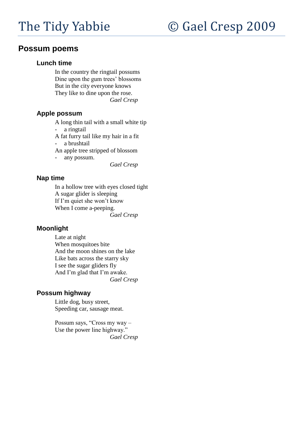# **Possum poems**

#### **Lunch time**

In the country the ringtail possums Dine upon the gum trees' blossoms But in the city everyone knows They like to dine upon the rose. *Gael Cresp*

## **Apple possum**

A long thin tail with a small white tip

- a ringtail

A fat furry tail like my hair in a fit

- a brushtail

An apple tree stripped of blossom

- any possum.

*Gael Cresp*

# **Nap time**

In a hollow tree with eyes closed tight A sugar glider is sleeping If I'm quiet she won't know When I come a-peeping. *Gael Cresp*

## **Moonlight**

Late at night When mosquitoes bite And the moon shines on the lake Like bats across the starry sky I see the sugar gliders fly And I"m glad that I"m awake. *Gael Cresp*

# **Possum highway**

Little dog, busy street, Speeding car, sausage meat.

Possum says, "Cross my way – Use the power line highway." *Gael Cresp*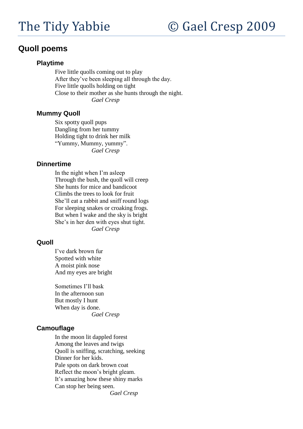# **Quoll poems**

## **Playtime**

Five little quolls coming out to play After they"ve been sleeping all through the day. Five little quolls holding on tight Close to their mother as she hunts through the night. *Gael Cresp*

#### **Mummy Quoll**

Six spotty quoll pups Dangling from her tummy Holding tight to drink her milk "Yummy, Mummy, yummy". *Gael Cresp*

#### **Dinnertime**

In the night when I"m asleep Through the bush, the quoll will creep She hunts for mice and bandicoot Climbs the trees to look for fruit She"ll eat a rabbit and sniff round logs For sleeping snakes or croaking frogs. But when I wake and the sky is bright She"s in her den with eyes shut tight. *Gael Cresp*

#### **Quoll**

I"ve dark brown fur Spotted with white A moist pink nose And my eyes are bright

Sometimes I"ll bask In the afternoon sun But mostly I hunt When day is done. *Gael Cresp*

## **Camouflage**

In the moon lit dappled forest Among the leaves and twigs Quoll is sniffing, scratching, seeking Dinner for her kids. Pale spots on dark brown coat Reflect the moon"s bright gleam. It's amazing how these shiny marks Can stop her being seen. *Gael Cresp*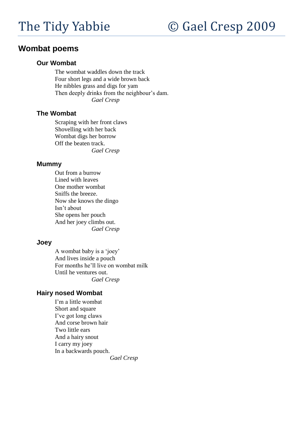# **Wombat poems**

#### **Our Wombat**

The wombat waddles down the track Four short legs and a wide brown back He nibbles grass and digs for yam Then deeply drinks from the neighbour's dam. *Gael Cresp*

## **The Wombat**

Scraping with her front claws Shovelling with her back Wombat digs her borrow Off the beaten track. *Gael Cresp*

#### **Mummy**

Out from a burrow Lined with leaves One mother wombat Sniffs the breeze. Now she knows the dingo Isn"t about She opens her pouch And her joey climbs out. *Gael Cresp*

## **Joey**

A wombat baby is a "joey" And lives inside a pouch For months he"ll live on wombat milk Until he ventures out. *Gael Cresp*

## **Hairy nosed Wombat**

I"m a little wombat Short and square I've got long claws And corse brown hair Two little ears And a hairy snout I carry my joey In a backwards pouch.

*Gael Cresp*